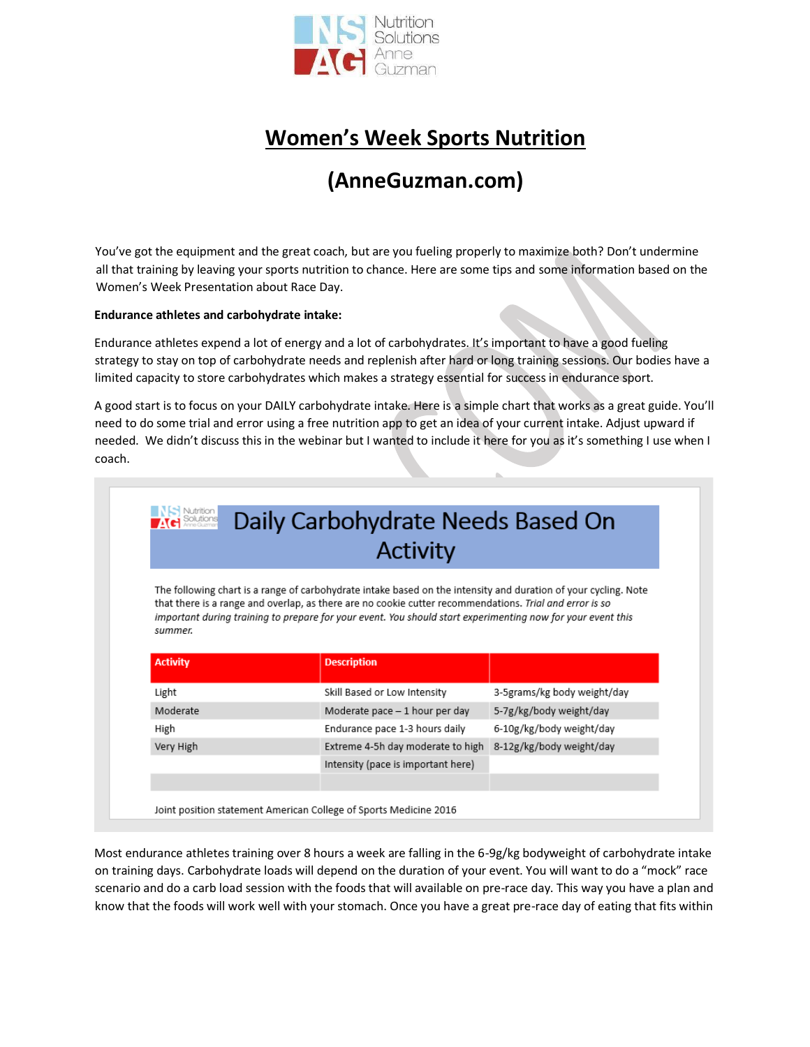

# **Women's Week Sports Nutrition**

# **(AnneGuzman.com)**

You've got the equipment and the great coach, but are you fueling properly to maximize both? Don't undermine all that training by leaving your sports nutrition to chance. Here are some tips and some information based on the Women's Week Presentation about Race Day.

### **Endurance athletes and carbohydrate intake:**

Endurance athletes expend a lot of energy and a lot of carbohydrates. It's important to have a good fueling strategy to stay on top of carbohydrate needs and replenish after hard or long training sessions. Our bodies have a limited capacity to store carbohydrates which makes a strategy essential for success in endurance sport.

A good start is to focus on your DAILY carbohydrate intake. Here is a simple chart that works as a great guide. You'll need to do some trial and error using a free nutrition app to get an idea of your current intake. Adjust upward if needed. We didn't discuss this in the webinar but I wanted to include it here for you as it's something I use when I coach.

| <b>NS</b> Nutrition<br><b>MC</b> Solutions<br>Daily Carbohydrate Needs Based On<br><b>Activity</b>                                                                                                                                                                                                                                                   |                                    |                             |  |  |  |
|------------------------------------------------------------------------------------------------------------------------------------------------------------------------------------------------------------------------------------------------------------------------------------------------------------------------------------------------------|------------------------------------|-----------------------------|--|--|--|
| The following chart is a range of carbohydrate intake based on the intensity and duration of your cycling. Note<br>that there is a range and overlap, as there are no cookie cutter recommendations. Trial and error is so<br>important during training to prepare for your event. You should start experimenting now for your event this<br>summer. |                                    |                             |  |  |  |
|                                                                                                                                                                                                                                                                                                                                                      |                                    |                             |  |  |  |
| <b>Activity</b>                                                                                                                                                                                                                                                                                                                                      | <b>Description</b>                 |                             |  |  |  |
| Light                                                                                                                                                                                                                                                                                                                                                | Skill Based or Low Intensity       | 3-5grams/kg body weight/day |  |  |  |
| Moderate                                                                                                                                                                                                                                                                                                                                             | Moderate pace - 1 hour per day     | 5-7g/kg/body weight/day     |  |  |  |
| High                                                                                                                                                                                                                                                                                                                                                 | Endurance pace 1-3 hours daily     | 6-10g/kg/body weight/day    |  |  |  |
| Very High                                                                                                                                                                                                                                                                                                                                            | Extreme 4-5h day moderate to high  | 8-12g/kg/body weight/day    |  |  |  |
|                                                                                                                                                                                                                                                                                                                                                      | Intensity (pace is important here) |                             |  |  |  |
|                                                                                                                                                                                                                                                                                                                                                      |                                    |                             |  |  |  |

Most endurance athletes training over 8 hours a week are falling in the 6-9g/kg bodyweight of carbohydrate intake on training days. Carbohydrate loads will depend on the duration of your event. You will want to do a "mock" race scenario and do a carb load session with the foods that will available on pre-race day. This way you have a plan and know that the foods will work well with your stomach. Once you have a great pre-race day of eating that fits within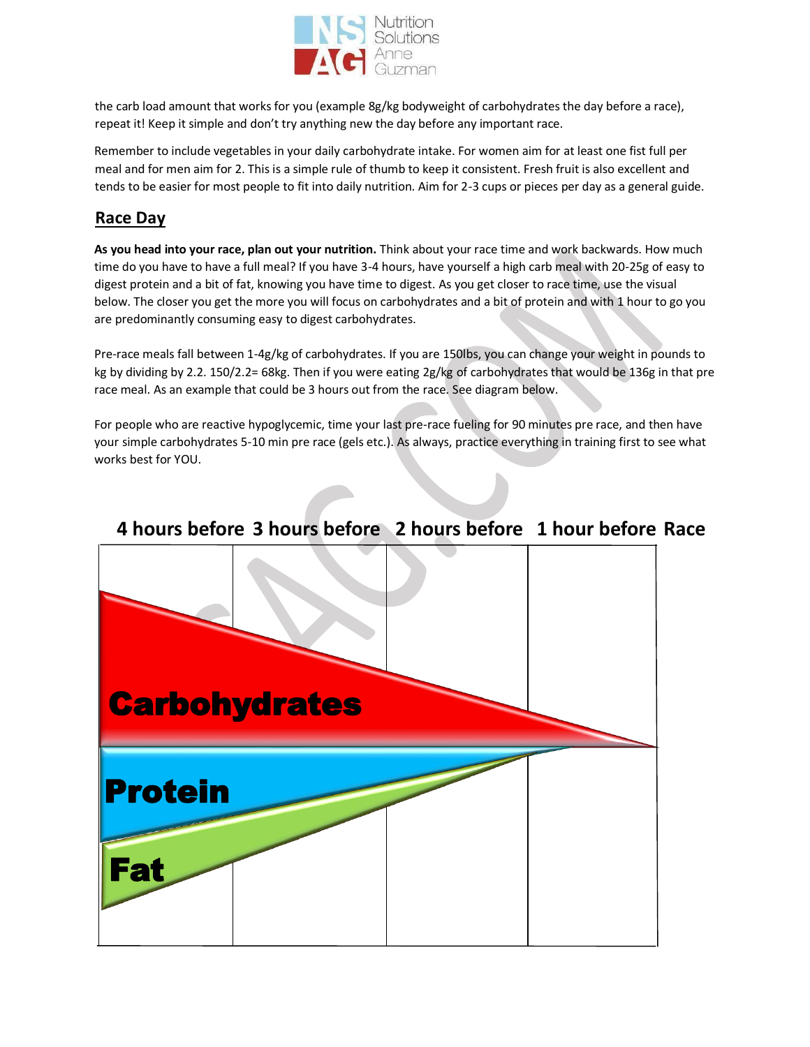

the carb load amount that works for you (example 8g/kg bodyweight of carbohydrates the day before a race), repeat it! Keep it simple and don't try anything new the day before any important race.

Remember to include vegetables in your daily carbohydrate intake. For women aim for at least one fist full per meal and for men aim for 2. This is a simple rule of thumb to keep it consistent. Fresh fruit is also excellent and tends to be easier for most people to fit into daily nutrition. Aim for 2-3 cups or pieces per day as a general guide.

# **Race Day**

**As you head into your race, plan out your nutrition.** Think about your race time and work backwards. How much time do you have to have a full meal? If you have 3-4 hours, have yourself a high carb meal with 20-25g of easy to digest protein and a bit of fat, knowing you have time to digest. As you get closer to race time, use the visual below. The closer you get the more you will focus on carbohydrates and a bit of protein and with 1 hour to go you are predominantly consuming easy to digest carbohydrates.

Pre-race meals fall between 1-4g/kg of carbohydrates. If you are 150lbs, you can change your weight in pounds to kg by dividing by 2.2. 150/2.2= 68kg. Then if you were eating 2g/kg of carbohydrates that would be 136g in that pre race meal. As an example that could be 3 hours out from the race. See diagram below.

For people who are reactive hypoglycemic, time your last pre-race fueling for 90 minutes pre race, and then have your simple carbohydrates 5-10 min pre race (gels etc.). As always, practice everything in training first to see what works best for YOU.



# **4 hours before 3 hours before 2 hours before 1 hour before Race**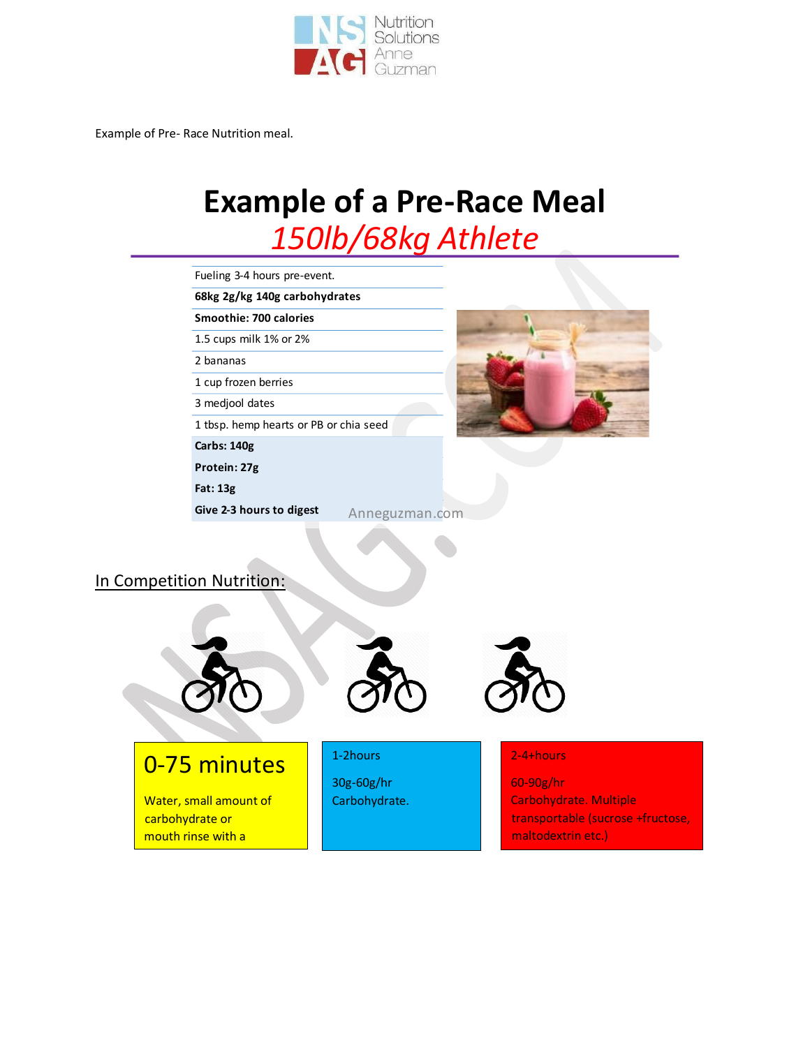

Example of Pre- Race Nutrition meal.

mouth rinse with a carbohydrate liquid.

# **Example of a Pre-Race Meal** 150lb/68kg Athlete

| Fueling 3-4 hours pre-event.                                                      |                                        |                                         |  |                                                                                         |
|-----------------------------------------------------------------------------------|----------------------------------------|-----------------------------------------|--|-----------------------------------------------------------------------------------------|
| 68kg 2g/kg 140g carbohydrates<br>Smoothie: 700 calories<br>1.5 cups milk 1% or 2% |                                        |                                         |  |                                                                                         |
|                                                                                   |                                        |                                         |  |                                                                                         |
|                                                                                   |                                        |                                         |  |                                                                                         |
|                                                                                   | 2 bananas                              |                                         |  |                                                                                         |
|                                                                                   | 1 cup frozen berries                   |                                         |  |                                                                                         |
|                                                                                   | 3 medjool dates                        |                                         |  |                                                                                         |
|                                                                                   | 1 tbsp. hemp hearts or PB or chia seed |                                         |  |                                                                                         |
|                                                                                   | Carbs: 140g                            |                                         |  |                                                                                         |
|                                                                                   | Protein: 27g                           |                                         |  |                                                                                         |
|                                                                                   | <b>Fat: 13g</b>                        |                                         |  |                                                                                         |
|                                                                                   | Give 2-3 hours to digest               | Anneguzman.com                          |  |                                                                                         |
|                                                                                   | In Competition Nutrition:              |                                         |  |                                                                                         |
|                                                                                   |                                        |                                         |  |                                                                                         |
| carbohydrate or                                                                   | 0-75 minutes<br>Water, small amount of | 1-2hours<br>30g-60g/hr<br>Carbohydrate. |  | 2-4+hours<br>60-90g/hr<br><b>Carbohydrate. Multiple</b><br>transportable (sucrose +fruc |

ose,

maltodextrin etc.)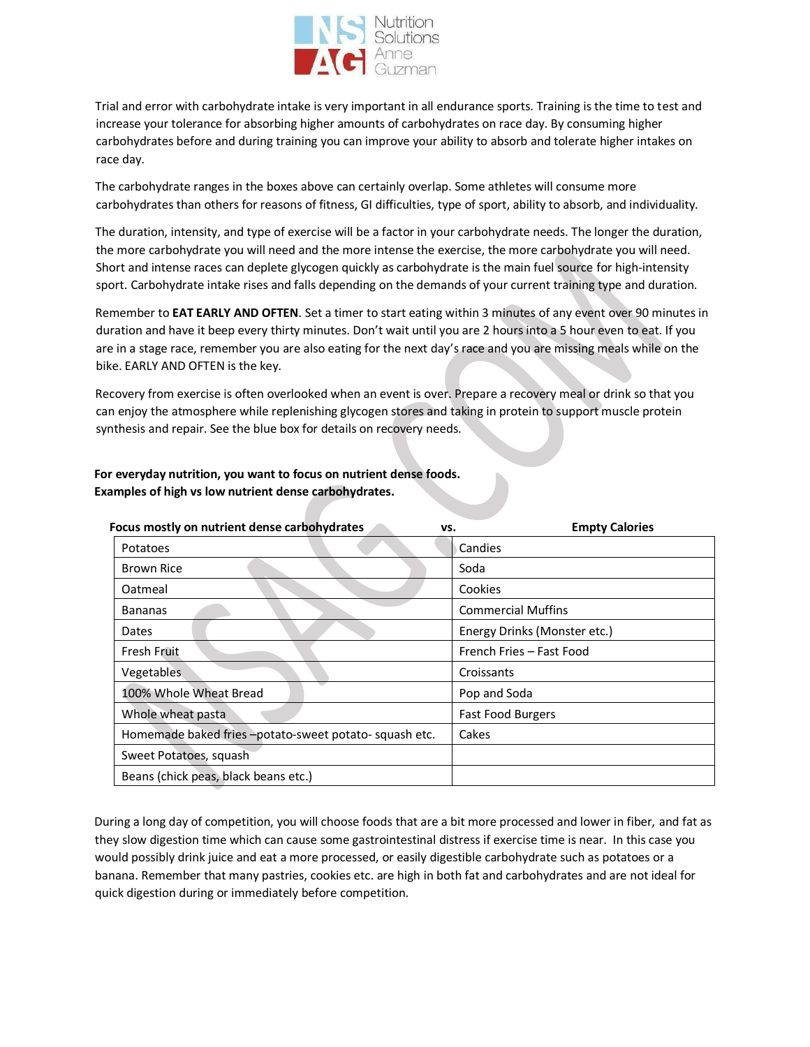

Trial and error with carbohydrate intake is very important in all endurance sports. Training is the time to test and increase your tolerance for absorbing higher amounts of carbohydrates on race day. By consuming higher carbohydrates before and during training you can improve your ability to absorb and tolerate higher intakes on race day.

The carbohydrate ranges in the boxes above can certainly overlap. Some athletes will consume more carbohydrates than others for reasons of fitness, GI difficulties, type of sport, ability to absorb, and individuality.

The duration, intensity, and type of exercise will be a factor in your carbohydrate needs. The longer the duration, the more carbohydrate you will need and the more intense the exercise, the more carbohydrate you will need. Short and intense races can deplete glycogen quickly as carbohydrate is the main fuel source for high-intensity sport. Carbohydrate intake rises and falls depending on the demands of your current training type and duration.

Remember to **EAT EARLY AND OFTEN**. Set a timer to start eating within 3 minutes of any event over 90 minutes in duration and have it beep every thirty minutes. Don't wait until you are 2 hours into a 5 hour even to eat. If you are in a stage race, remember you are also eating for the next day's race and you are missing meals while on the bike. EARLY AND OFTEN is the key.

Recovery from exercise is often overlooked when an event is over. Prepare a recovery meal or drink so that you can enjoy the atmosphere while replenishing glycogen stores and taking in protein to support muscle protein synthesis and repair. See the blue box for details on recovery needs.

# **For everyday nutrition, you want to focus on nutrient dense foods. Examples of high vs low nutrient dense carbohydrates.**

| <b>Empty Calories</b><br>VS.                                   |
|----------------------------------------------------------------|
| Candies                                                        |
| Soda                                                           |
| Cookies                                                        |
| <b>Commercial Muffins</b>                                      |
| Energy Drinks (Monster etc.)                                   |
| French Fries - Fast Food                                       |
| Croissants                                                     |
| Pop and Soda                                                   |
| Fast Food Burgers                                              |
| Homemade baked fries -potato-sweet potato-squash etc.<br>Cakes |
|                                                                |
|                                                                |
|                                                                |

During a long day of competition, you will choose foods that are a bit more processed and lower in fiber, and fat as they slow digestion time which can cause some gastrointestinal distress if exercise time is near. In this case you would possibly drink juice and eat a more processed, or easily digestible carbohydrate such as potatoes or a banana. Remember that many pastries, cookies etc. are high in both fat and carbohydrates and are not ideal for quick digestion during or immediately before competition.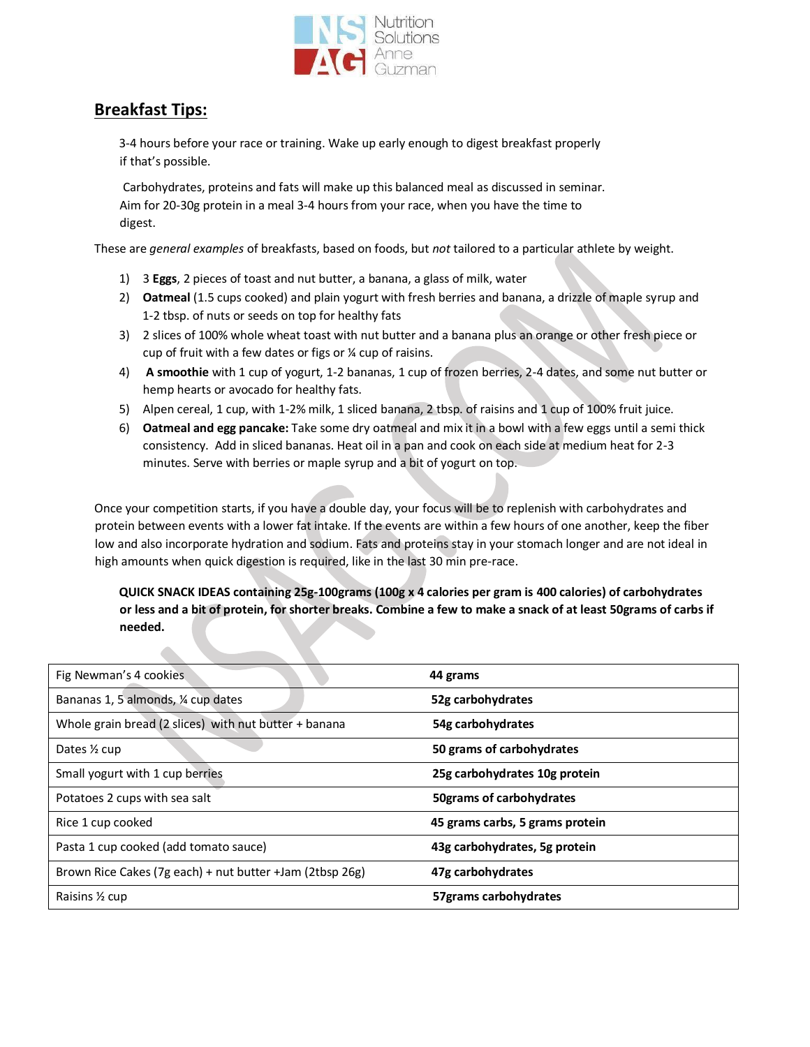

# **Breakfast Tips:**

 $\blacktriangle$ 

3-4 hours before your race or training. Wake up early enough to digest breakfast properly if that's possible.

Carbohydrates, proteins and fats will make up this balanced meal as discussed in seminar. Aim for 20-30g protein in a meal 3-4 hours from your race, when you have the time to digest.

These are *general examples* of breakfasts, based on foods, but *not* tailored to a particular athlete by weight.

- 1) 3 **Eggs**, 2 pieces of toast and nut butter, a banana, a glass of milk, water
- 2) **Oatmeal** (1.5 cups cooked) and plain yogurt with fresh berries and banana, a drizzle of maple syrup and 1-2 tbsp. of nuts or seeds on top for healthy fats
- 3) 2 slices of 100% whole wheat toast with nut butter and a banana plus an orange or other fresh piece or cup of fruit with a few dates or figs or ¼ cup of raisins.
- 4) **A smoothie** with 1 cup of yogurt, 1-2 bananas, 1 cup of frozen berries, 2-4 dates, and some nut butter or hemp hearts or avocado for healthy fats.
- 5) Alpen cereal, 1 cup, with 1-2% milk, 1 sliced banana, 2 tbsp. of raisins and 1 cup of 100% fruit juice.
- 6) **Oatmeal and egg pancake:** Take some dry oatmeal and mix it in a bowl with a few eggs until a semi thick consistency. Add in sliced bananas. Heat oil in a pan and cook on each side at medium heat for 2-3 minutes. Serve with berries or maple syrup and a bit of yogurt on top.

Once your competition starts, if you have a double day, your focus will be to replenish with carbohydrates and protein between events with a lower fat intake. If the events are within a few hours of one another, keep the fiber low and also incorporate hydration and sodium. Fats and proteins stay in your stomach longer and are not ideal in high amounts when quick digestion is required, like in the last 30 min pre-race.

# **QUICK SNACK IDEAS containing 25g-100grams (100g x 4 calories per gram is 400 calories) of carbohydrates or less and a bit of protein, for shorter breaks. Combine a few to make a snack of at least 50grams of carbs if needed.**

| Fig Newman's 4 cookies                                   | 44 grams                        |  |  |
|----------------------------------------------------------|---------------------------------|--|--|
| Bananas 1, 5 almonds, 1/4 cup dates                      | 52g carbohydrates               |  |  |
| Whole grain bread (2 slices) with nut butter + banana    | 54g carbohydrates               |  |  |
| Dates 1/2 cup                                            | 50 grams of carbohydrates       |  |  |
| Small yogurt with 1 cup berries                          | 25g carbohydrates 10g protein   |  |  |
| Potatoes 2 cups with sea salt                            | 50grams of carbohydrates        |  |  |
| Rice 1 cup cooked                                        | 45 grams carbs, 5 grams protein |  |  |
| Pasta 1 cup cooked (add tomato sauce)                    | 43g carbohydrates, 5g protein   |  |  |
| Brown Rice Cakes (7g each) + nut butter +Jam (2tbsp 26g) | 47g carbohydrates               |  |  |
| Raisins 1/2 cup                                          | 57grams carbohydrates           |  |  |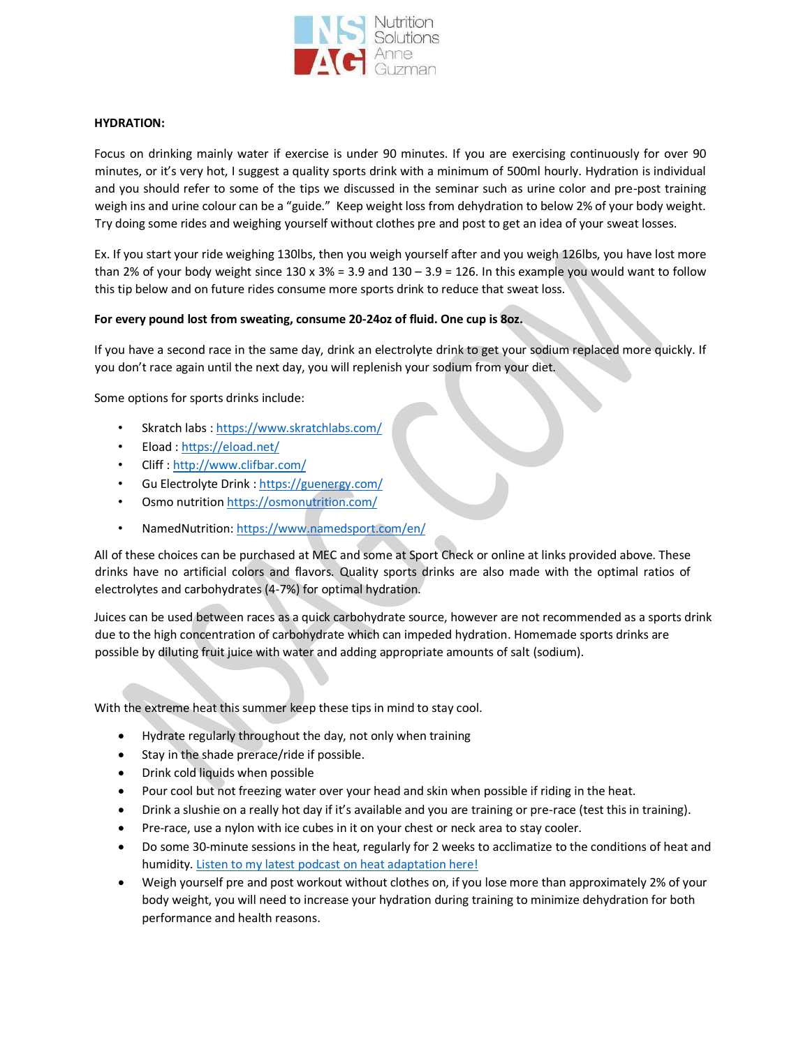

# **HYDRATION:**

Focus on drinking mainly water if exercise is under 90 minutes. If you are exercising continuously for over 90 minutes, or it's very hot, I suggest a quality sports drink with a minimum of 500ml hourly. Hydration is individual and you should refer to some of the tips we discussed in the seminar such as urine color and pre-post training weigh ins and urine colour can be a "guide." Keep weight loss from dehydration to below 2% of your body weight. Try doing some rides and weighing yourself without clothes pre and post to get an idea of your sweat losses.

Ex. If you start your ride weighing 130lbs, then you weigh yourself after and you weigh 126lbs, you have lost more than 2% of your body weight since  $130 \times 3\% = 3.9$  and  $130 - 3.9 = 126$ . In this example you would want to follow this tip below and on future rides consume more sports drink to reduce that sweat loss.

# **For every pound lost from sweating, consume 20-24oz of fluid. One cup is 8oz.**

If you have a second race in the same day, drink an electrolyte drink to get your sodium replaced more quickly. If you don't race again until the next day, you will replenish your sodium from your diet.

Some options for sports drinks include:

- Skratch lab[s : https://www.skratchlabs.com/](https://www.skratchlabs.com/)
- Eloa[d : https://eload.net/](https://eload.net/)
- Clif[f : http://www.clifbar.com/](http://www.clifbar.com/)
- Gu Electrolyte Drink [: https://guenergy.com/](https://guenergy.com/)
- Osmo nutriti[on https://osmonutrition.com/](https://osmonutrition.com/)
- NamedNutrition[: https://www.namedsport.com/en/](https://www.namedsport.com/en/)

All of these choices can be purchased at MEC and some at Sport Check or online at links provided above. These drinks have no artificial colors and flavors. Quality sports drinks are also made with the optimal ratios of electrolytes and carbohydrates (4-7%) for optimal hydration.

Juices can be used between races as a quick carbohydrate source, however are not recommended as a sports drink due to the high concentration of carbohydrate which can impeded hydration. Homemade sports drinks are possible by diluting fruit juice with water and adding appropriate amounts of salt (sodium).

With the extreme heat this summer keep these tips in mind to stay cool.

- Hydrate regularly throughout the day, not only when training
- Stay in the shade prerace/ride if possible.
- Drink cold liquids when possible
- Pour cool but not freezing water over your head and skin when possible if riding in the heat.
- Drink a slushie on a really hot day if it's available and you are training or pre-race (test this in training).
- Pre-race, use a nylon with ice cubes in it on your chest or neck area to stay cooler.
- Do some 30-minute sessions in the heat, regularly for 2 weeks to acclimatize to the conditions of heat and humidity. [Listen to my latest podcast on heat adaptation here!](https://podcasts.apple.com/ca/podcast/heat-slowing-you-down-on-race-day-beat-the-heat-like/id1529312639?i=1000562612986)
- Weigh yourself pre and post workout without clothes on, if you lose more than approximately 2% of your body weight, you will need to increase your hydration during training to minimize dehydration for both performance and health reasons.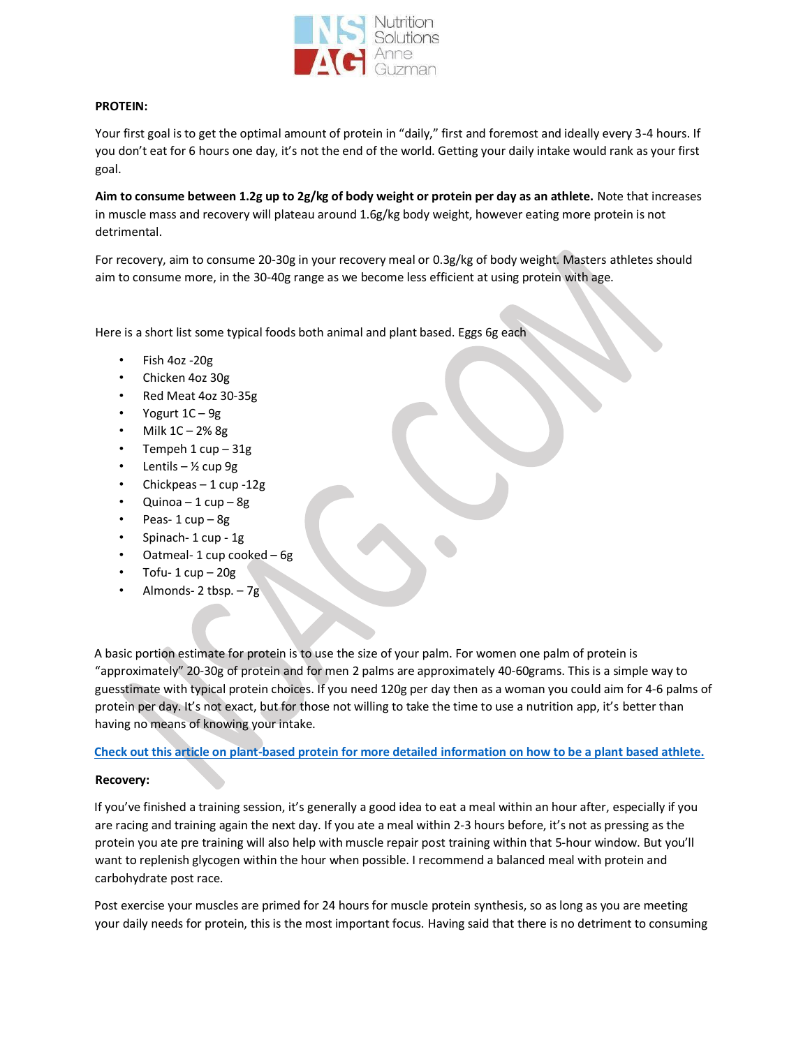

## **PROTEIN:**

Your first goal is to get the optimal amount of protein in "daily," first and foremost and ideally every 3-4 hours. If you don't eat for 6 hours one day, it's not the end of the world. Getting your daily intake would rank as your first goal.

**Aim to consume between 1.2g up to 2g/kg of body weight or protein per day as an athlete.** Note that increases in muscle mass and recovery will plateau around 1.6g/kg body weight, however eating more protein is not detrimental.

For recovery, aim to consume 20-30g in your recovery meal or 0.3g/kg of body weight. Masters athletes should aim to consume more, in the 30-40g range as we become less efficient at using protein with age.

Here is a short list some typical foods both animal and plant based. Eggs 6g each

- Fish 4oz -20g
- Chicken 4oz 30g
- Red Meat 4oz 30-35g
- Yogurt 1C 9g
- Milk  $1C 2%$  8g
- Tempeh 1 cup 31g
- Lentils  $\frac{1}{2}$  cup 9g
- Chickpeas 1 cup -12g
- Quinoa  $1 \text{ cup} 8 \text{ g}$
- Peas- 1 cup 8g
- Spinach- 1 cup 1g
- Oatmeal- 1 cup cooked 6g
- Tofu-  $1 \text{ cup} 20 \text{g}$
- Almonds- 2 tbsp. 7g

A basic portion estimate for protein is to use the size of your palm. For women one palm of protein is "approximately" 20-30g of protein and for men 2 palms are approximately 40-60grams. This is a simple way to guesstimate with typical protein choices. If you need 120g per day then as a woman you could aim for 4-6 palms of protein per day. It's not exact, but for those not willing to take the time to use a nutrition app, it's better than having no means of knowing your intake.

**[Check out this article on plant-based protein for more detailed information on how to be a plant based athlete.](https://www.nutritionsolutionsanneguzman.com/post/how-to-can-get-enough-quality-plant-protein-without-spending-hours-planning-your-nutrition)**

#### **Recovery:**

If you've finished a training session, it's generally a good idea to eat a meal within an hour after, especially if you are racing and training again the next day. If you ate a meal within 2-3 hours before, it's not as pressing as the protein you ate pre training will also help with muscle repair post training within that 5-hour window. But you'll want to replenish glycogen within the hour when possible. I recommend a balanced meal with protein and carbohydrate post race.

Post exercise your muscles are primed for 24 hours for muscle protein synthesis, so as long as you are meeting your daily needs for protein, this is the most important focus. Having said that there is no detriment to consuming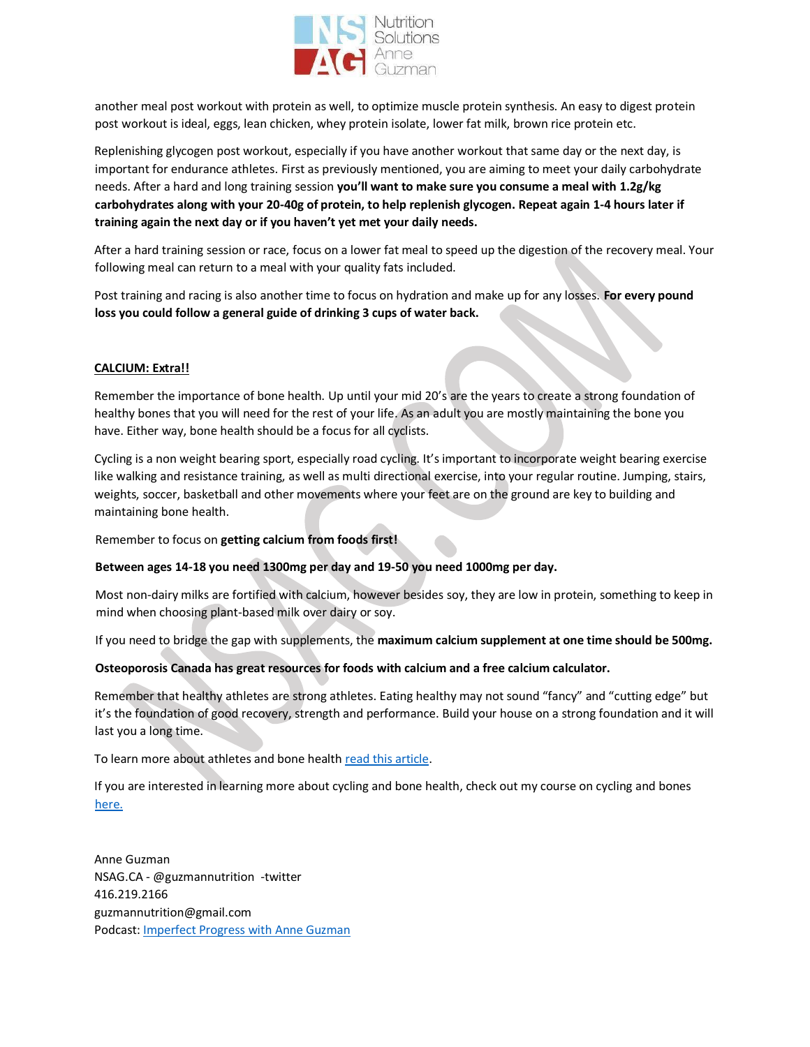

another meal post workout with protein as well, to optimize muscle protein synthesis. An easy to digest protein post workout is ideal, eggs, lean chicken, whey protein isolate, lower fat milk, brown rice protein etc.

Replenishing glycogen post workout, especially if you have another workout that same day or the next day, is important for endurance athletes. First as previously mentioned, you are aiming to meet your daily carbohydrate needs. After a hard and long training session you'll want to make sure you consume a meal with 1.2g/kg **carbohydrates along with your 20-40g of protein, to help replenish glycogen. Repeat again 1-4 hours later if**  training again the next day or if you haven't yet met your daily needs.

After a hard training session or race, focus on a lower fat meal to speed up the digestion of the recovery meal. Your following meal can return to a meal with your quality fats included.

Post training and racing is also another time to focus on hydration and make up for any losses. **For every pound loss you could follow a general guide of drinking 3 cups of water back.** 

# **CALCIUM: Extra!!**

Remember the importance of bone health. Up until your mid 20's are the years to create a strong foundation of healthy bones that you will need for the rest of your life. As an adult you are mostly maintaining the bone you have. Either way, bone health should be a focus for all cyclists.

Cycling is a non weight bearing sport, especially road cycling. It's important to incorporate weight bearing exercise like walking and resistance training, as well as multi directional exercise, into your regular routine. Jumping, stairs, weights, soccer, basketball and other movements where your feet are on the ground are key to building and maintaining bone health.

Remember to focus on **getting calcium from foods first!** 

#### **Between ages 14-18 you need 1300mg per day and 19-50 you need 1000mg per day.**

Most non-dairy milks are fortified with calcium, however besides soy, they are low in protein, something to keep in mind when choosing plant-based milk over dairy or soy.

If you need to bridge the gap with supplements, the **maximum calcium supplement at one time should be 500mg.** 

# **Osteoporosis Canada has great resources for foods with calcium and a free calcium calculator.**

Remember that healthy athletes are strong athletes. Eating healthy may not sound "fancy" and "cutting edge" but it's the foundation of good recovery, strength and performance. Build your house on a strong foundation and it will last you a long time.

To learn more about athletes and bone health [read this article.](https://shepowersport.com/bone-health/)

If you are interested in learning more about cycling and bone health, check out my course on cycling and bones [here.](https://www.nutritionsolutionsanneguzman.com/product-page/better-bones-for-endurance-athletes)

Anne Guzman NSAG.CA - @guzmannutrition -twitter 416.219.2166 guzmannutrition@gmail.com Podcast: Imperfect [Progress with Anne Guzman](https://podcasts.apple.com/ca/podcast/imperfect-progress-with-anne-guzman/id1529312639)